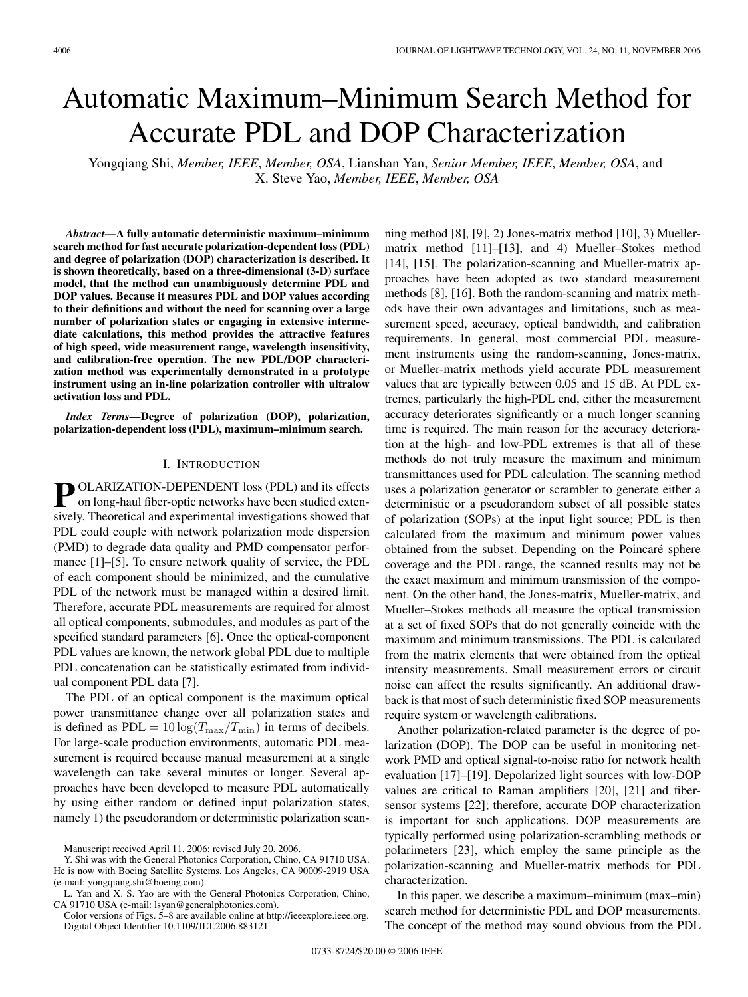# Automatic Maximum–Minimum Search Method for Accurate PDL and DOP Characterization

Yongqiang Shi, *Member, IEEE*, *Member, OSA*, Lianshan Yan, *Senior Member, IEEE*, *Member, OSA*, and X. Steve Yao, *Member, IEEE*, *Member, OSA*

*Abstract***—A fully automatic deterministic maximum–minimum search method for fast accurate polarization-dependent loss (PDL) and degree of polarization (DOP) characterization is described. It is shown theoretically, based on a three-dimensional (3-D) surface model, that the method can unambiguously determine PDL and DOP values. Because it measures PDL and DOP values according to their definitions and without the need for scanning over a large number of polarization states or engaging in extensive intermediate calculations, this method provides the attractive features of high speed, wide measurement range, wavelength insensitivity, and calibration-free operation. The new PDL/DOP characterization method was experimentally demonstrated in a prototype instrument using an in-line polarization controller with ultralow activation loss and PDL.**

*Index Terms***—Degree of polarization (DOP), polarization, polarization-dependent loss (PDL), maximum–minimum search.**

## I. INTRODUCTION

**P** OLARIZATION-DEPENDENT loss (PDL) and its effects on long-haul fiber-optic networks have been studied extensively. Theoretical and experimental investigations showed that PDL could couple with network polarization mode dispersion (PMD) to degrade data quality and PMD compensator performance [1]–[5]. To ensure network quality of service, the PDL of each component should be minimized, and the cumulative PDL of the network must be managed within a desired limit. Therefore, accurate PDL measurements are required for almost all optical components, submodules, and modules as part of the specified standard parameters [6]. Once the optical-component PDL values are known, the network global PDL due to multiple PDL concatenation can be statistically estimated from individual component PDL data [7].

The PDL of an optical component is the maximum optical power transmittance change over all polarization states and is defined as  $PDL = 10 \log(T_{\text{max}}/T_{\text{min}})$  in terms of decibels. For large-scale production environments, automatic PDL measurement is required because manual measurement at a single wavelength can take several minutes or longer. Several approaches have been developed to measure PDL automatically by using either random or defined input polarization states, namely 1) the pseudorandom or deterministic polarization scanning method [8], [9], 2) Jones-matrix method [10], 3) Muellermatrix method [11]–[13], and 4) Mueller–Stokes method [14], [15]. The polarization-scanning and Mueller-matrix approaches have been adopted as two standard measurement methods [8], [16]. Both the random-scanning and matrix methods have their own advantages and limitations, such as measurement speed, accuracy, optical bandwidth, and calibration requirements. In general, most commercial PDL measurement instruments using the random-scanning, Jones-matrix, or Mueller-matrix methods yield accurate PDL measurement values that are typically between 0.05 and 15 dB. At PDL extremes, particularly the high-PDL end, either the measurement accuracy deteriorates significantly or a much longer scanning time is required. The main reason for the accuracy deterioration at the high- and low-PDL extremes is that all of these methods do not truly measure the maximum and minimum transmittances used for PDL calculation. The scanning method uses a polarization generator or scrambler to generate either a deterministic or a pseudorandom subset of all possible states of polarization (SOPs) at the input light source; PDL is then calculated from the maximum and minimum power values obtained from the subset. Depending on the Poincaré sphere coverage and the PDL range, the scanned results may not be the exact maximum and minimum transmission of the component. On the other hand, the Jones-matrix, Mueller-matrix, and Mueller–Stokes methods all measure the optical transmission at a set of fixed SOPs that do not generally coincide with the maximum and minimum transmissions. The PDL is calculated from the matrix elements that were obtained from the optical intensity measurements. Small measurement errors or circuit noise can affect the results significantly. An additional drawback is that most of such deterministic fixed SOP measurements require system or wavelength calibrations.

Another polarization-related parameter is the degree of polarization (DOP). The DOP can be useful in monitoring network PMD and optical signal-to-noise ratio for network health evaluation [17]–[19]. Depolarized light sources with low-DOP values are critical to Raman amplifiers [20], [21] and fibersensor systems [22]; therefore, accurate DOP characterization is important for such applications. DOP measurements are typically performed using polarization-scrambling methods or polarimeters [23], which employ the same principle as the polarization-scanning and Mueller-matrix methods for PDL characterization.

In this paper, we describe a maximum–minimum (max–min) search method for deterministic PDL and DOP measurements. The concept of the method may sound obvious from the PDL

Manuscript received April 11, 2006; revised July 20, 2006.

Y. Shi was with the General Photonics Corporation, Chino, CA 91710 USA. He is now with Boeing Satellite Systems, Los Angeles, CA 90009-2919 USA (e-mail: yongqiang.shi@boeing.com).

L. Yan and X. S. Yao are with the General Photonics Corporation, Chino, CA 91710 USA (e-mail: lsyan@generalphotonics.com).

Color versions of Figs. 5–8 are available online at http://ieeexplore.ieee.org. Digital Object Identifier 10.1109/JLT.2006.883121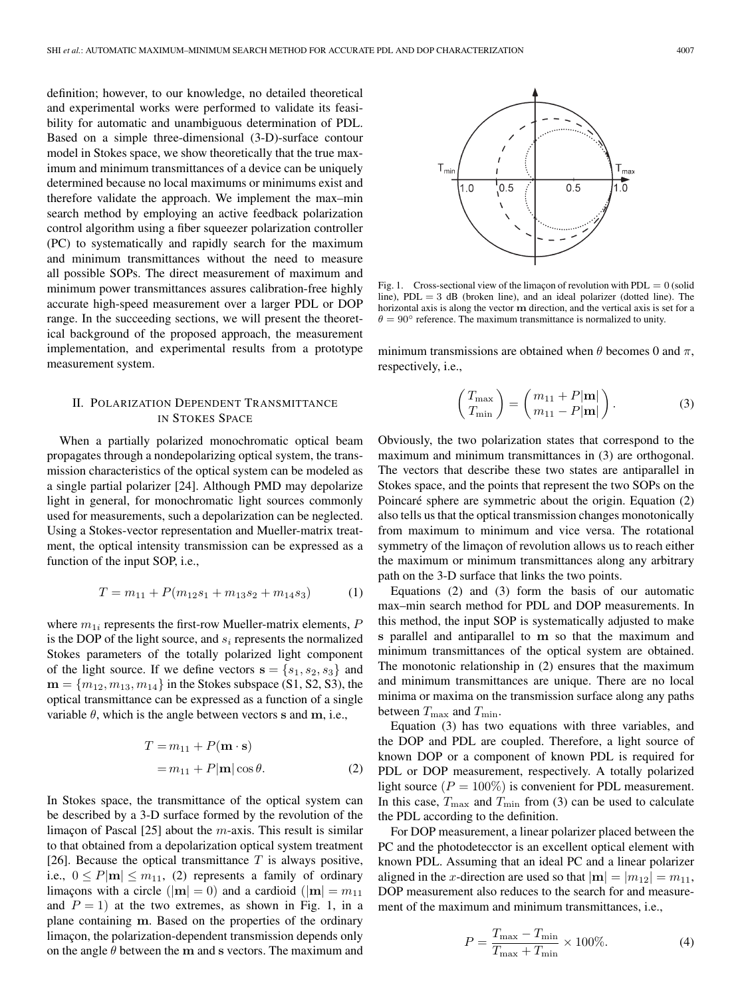definition; however, to our knowledge, no detailed theoretical and experimental works were performed to validate its feasibility for automatic and unambiguous determination of PDL. Based on a simple three-dimensional (3-D)-surface contour model in Stokes space, we show theoretically that the true maximum and minimum transmittances of a device can be uniquely determined because no local maximums or minimums exist and therefore validate the approach. We implement the max–min search method by employing an active feedback polarization control algorithm using a fiber squeezer polarization controller (PC) to systematically and rapidly search for the maximum and minimum transmittances without the need to measure all possible SOPs. The direct measurement of maximum and minimum power transmittances assures calibration-free highly accurate high-speed measurement over a larger PDL or DOP range. In the succeeding sections, we will present the theoretical background of the proposed approach, the measurement implementation, and experimental results from a prototype measurement system.

# II. POLARIZATION DEPENDENT TRANSMITTANCE IN STOKES SPACE

When a partially polarized monochromatic optical beam propagates through a nondepolarizing optical system, the transmission characteristics of the optical system can be modeled as a single partial polarizer [24]. Although PMD may depolarize light in general, for monochromatic light sources commonly used for measurements, such a depolarization can be neglected. Using a Stokes-vector representation and Mueller-matrix treatment, the optical intensity transmission can be expressed as a function of the input SOP, i.e.,

$$
T = m_{11} + P(m_{12}s_1 + m_{13}s_2 + m_{14}s_3)
$$
 (1)

where  $m_{1i}$  represents the first-row Mueller-matrix elements,  $P$ is the DOP of the light source, and  $s_i$  represents the normalized Stokes parameters of the totally polarized light component of the light source. If we define vectors  $\mathbf{s} = \{s_1, s_2, s_3\}$  and  **in the Stokes subspace (S1, S2, S3), the** optical transmittance can be expressed as a function of a single variable  $\theta$ , which is the angle between vectors **s** and **m**, i.e.,

$$
T = m_{11} + P(\mathbf{m} \cdot \mathbf{s})
$$
  
=  $m_{11} + P|\mathbf{m}| \cos \theta$ . (2)

In Stokes space, the transmittance of the optical system can be described by a 3-D surface formed by the revolution of the limaçon of Pascal [25] about the m-axis. This result is similar to that obtained from a depolarization optical system treatment [26]. Because the optical transmittance  $T$  is always positive, i.e.,  $0 \leq P|\mathbf{m}| \leq m_{11}$ , (2) represents a family of ordinary limaçons with a circle ( $|\mathbf{m}| = 0$ ) and a cardioid ( $|\mathbf{m}| = m_{11}$ ) and  $P = 1$ ) at the two extremes, as shown in Fig. 1, in a plane containing **m**. Based on the properties of the ordinary limaçon, the polarization-dependent transmission depends only on the angle θ between the **m** and **s** vectors. The maximum and



Fig. 1. Cross-sectional view of the limaçon of revolution with  $PDL = 0$  (solid line),  $PDL = 3$  dB (broken line), and an ideal polarizer (dotted line). The horizontal axis is along the vector **m** direction, and the vertical axis is set for a  $\theta = 90^{\circ}$  reference. The maximum transmittance is normalized to unity.

minimum transmissions are obtained when  $\theta$  becomes 0 and  $\pi$ , respectively, i.e.,

$$
\begin{pmatrix} T_{\text{max}} \\ T_{\text{min}} \end{pmatrix} = \begin{pmatrix} m_{11} + P|\mathbf{m}| \\ m_{11} - P|\mathbf{m}| \end{pmatrix}.
$$
 (3)

Obviously, the two polarization states that correspond to the maximum and minimum transmittances in (3) are orthogonal. The vectors that describe these two states are antiparallel in Stokes space, and the points that represent the two SOPs on the Poincaré sphere are symmetric about the origin. Equation (2) also tells us that the optical transmission changes monotonically from maximum to minimum and vice versa. The rotational symmetry of the limaçon of revolution allows us to reach either the maximum or minimum transmittances along any arbitrary path on the 3-D surface that links the two points.

Equations (2) and (3) form the basis of our automatic max–min search method for PDL and DOP measurements. In this method, the input SOP is systematically adjusted to make **s** parallel and antiparallel to **m** so that the maximum and minimum transmittances of the optical system are obtained. The monotonic relationship in (2) ensures that the maximum and minimum transmittances are unique. There are no local minima or maxima on the transmission surface along any paths between  $T_{\text{max}}$  and  $T_{\text{min}}$ .

Equation (3) has two equations with three variables, and the DOP and PDL are coupled. Therefore, a light source of known DOP or a component of known PDL is required for PDL or DOP measurement, respectively. A totally polarized light source ( $P = 100\%$ ) is convenient for PDL measurement. In this case,  $T_{\text{max}}$  and  $T_{\text{min}}$  from (3) can be used to calculate the PDL according to the definition.

For DOP measurement, a linear polarizer placed between the PC and the photodetecctor is an excellent optical element with known PDL. Assuming that an ideal PC and a linear polarizer aligned in the x-direction are used so that  $|\mathbf{m}| = |m_{12}| = m_{11}$ , DOP measurement also reduces to the search for and measurement of the maximum and minimum transmittances, i.e.,

$$
P = \frac{T_{\text{max}} - T_{\text{min}}}{T_{\text{max}} + T_{\text{min}}} \times 100\%.
$$
 (4)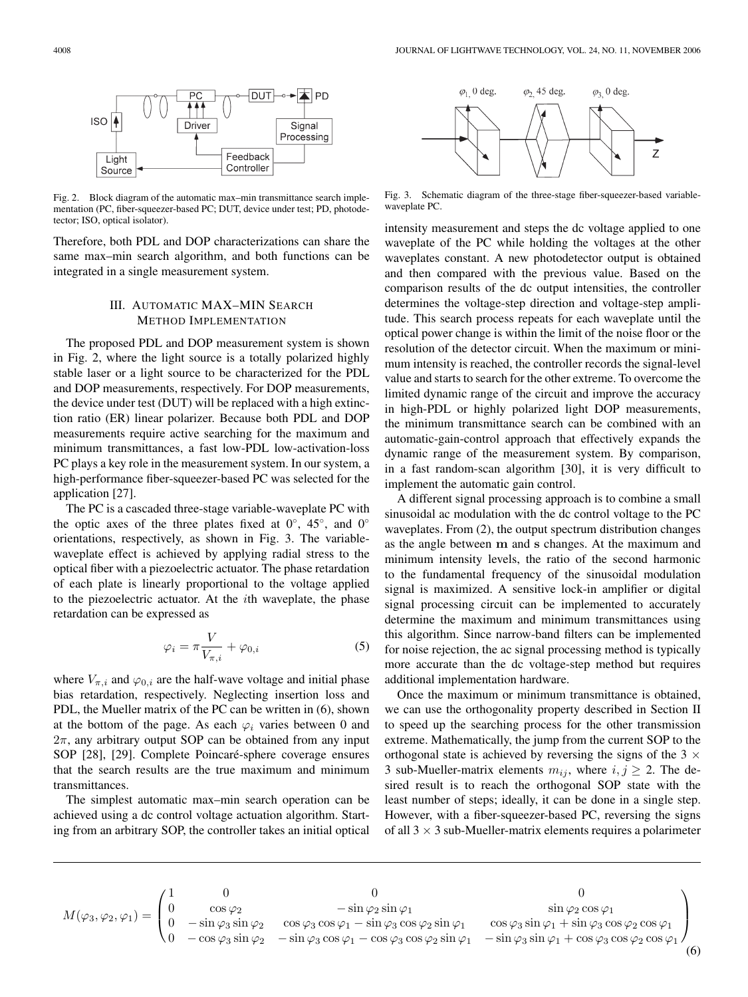

Fig. 2. Block diagram of the automatic max–min transmittance search implementation (PC, fiber-squeezer-based PC; DUT, device under test; PD, photodetector; ISO, optical isolator).

Therefore, both PDL and DOP characterizations can share the same max–min search algorithm, and both functions can be integrated in a single measurement system.

# III. AUTOMATIC MAX–MIN SEARCH METHOD IMPLEMENTATION

The proposed PDL and DOP measurement system is shown in Fig. 2, where the light source is a totally polarized highly stable laser or a light source to be characterized for the PDL and DOP measurements, respectively. For DOP measurements, the device under test (DUT) will be replaced with a high extinction ratio (ER) linear polarizer. Because both PDL and DOP measurements require active searching for the maximum and minimum transmittances, a fast low-PDL low-activation-loss PC plays a key role in the measurement system. In our system, a high-performance fiber-squeezer-based PC was selected for the application [27].

The PC is a cascaded three-stage variable-waveplate PC with the optic axes of the three plates fixed at  $0^\circ$ ,  $45^\circ$ , and  $0^\circ$ orientations, respectively, as shown in Fig. 3. The variablewaveplate effect is achieved by applying radial stress to the optical fiber with a piezoelectric actuator. The phase retardation of each plate is linearly proportional to the voltage applied to the piezoelectric actuator. At the  $i$ th waveplate, the phase retardation can be expressed as

$$
\varphi_i = \pi \frac{V}{V_{\pi,i}} + \varphi_{0,i} \tag{5}
$$

where  $V_{\pi,i}$  and  $\varphi_{0,i}$  are the half-wave voltage and initial phase bias retardation, respectively. Neglecting insertion loss and PDL, the Mueller matrix of the PC can be written in (6), shown at the bottom of the page. As each  $\varphi_i$  varies between 0 and  $2\pi$ , any arbitrary output SOP can be obtained from any input SOP [28], [29]. Complete Poincaré-sphere coverage ensures that the search results are the true maximum and minimum transmittances.

The simplest automatic max–min search operation can be achieved using a dc control voltage actuation algorithm. Starting from an arbitrary SOP, the controller takes an initial optical



Fig. 3. Schematic diagram of the three-stage fiber-squeezer-based variablewaveplate PC.

intensity measurement and steps the dc voltage applied to one waveplate of the PC while holding the voltages at the other waveplates constant. A new photodetector output is obtained and then compared with the previous value. Based on the comparison results of the dc output intensities, the controller determines the voltage-step direction and voltage-step amplitude. This search process repeats for each waveplate until the optical power change is within the limit of the noise floor or the resolution of the detector circuit. When the maximum or minimum intensity is reached, the controller records the signal-level value and starts to search for the other extreme. To overcome the limited dynamic range of the circuit and improve the accuracy in high-PDL or highly polarized light DOP measurements, the minimum transmittance search can be combined with an automatic-gain-control approach that effectively expands the dynamic range of the measurement system. By comparison, in a fast random-scan algorithm [30], it is very difficult to implement the automatic gain control.

A different signal processing approach is to combine a small sinusoidal ac modulation with the dc control voltage to the PC waveplates. From (2), the output spectrum distribution changes as the angle between **m** and **s** changes. At the maximum and minimum intensity levels, the ratio of the second harmonic to the fundamental frequency of the sinusoidal modulation signal is maximized. A sensitive lock-in amplifier or digital signal processing circuit can be implemented to accurately determine the maximum and minimum transmittances using this algorithm. Since narrow-band filters can be implemented for noise rejection, the ac signal processing method is typically more accurate than the dc voltage-step method but requires additional implementation hardware.

Once the maximum or minimum transmittance is obtained, we can use the orthogonality property described in Section II to speed up the searching process for the other transmission extreme. Mathematically, the jump from the current SOP to the orthogonal state is achieved by reversing the signs of the  $3 \times$ 3 sub-Mueller-matrix elements  $m_{ij}$ , where  $i, j \geq 2$ . The desired result is to reach the orthogonal SOP state with the least number of steps; ideally, it can be done in a single step. However, with a fiber-squeezer-based PC, reversing the signs of all  $3 \times 3$  sub-Mueller-matrix elements requires a polarimeter

| $M(\varphi_3, \varphi_2, \varphi_1) = \begin{pmatrix} 0 \\ 0 \end{pmatrix}$ |                               |                                                                                                     |                                                                       |  |
|-----------------------------------------------------------------------------|-------------------------------|-----------------------------------------------------------------------------------------------------|-----------------------------------------------------------------------|--|
|                                                                             | $\cos\varphi_2$               | $-\sin\varphi_2\sin\varphi_1$                                                                       | $\sin \varphi_2 \cos \varphi_1$                                       |  |
|                                                                             | $-\sin\varphi_3\sin\varphi_2$ | $\cos\varphi_3\cos\varphi_1-\sin\varphi_3\cos\varphi_2\sin\varphi_1$                                | $\cos\varphi_3\sin\varphi_1+\sin\varphi_3\cos\varphi_2\cos\varphi_1$  |  |
|                                                                             |                               | $-\cos\varphi_3\sin\varphi_2$ $-\sin\varphi_3\cos\varphi_1-\cos\varphi_3\cos\varphi_2\sin\varphi_1$ | $-\sin\varphi_3\sin\varphi_1+\cos\varphi_3\cos\varphi_2\cos\varphi_1$ |  |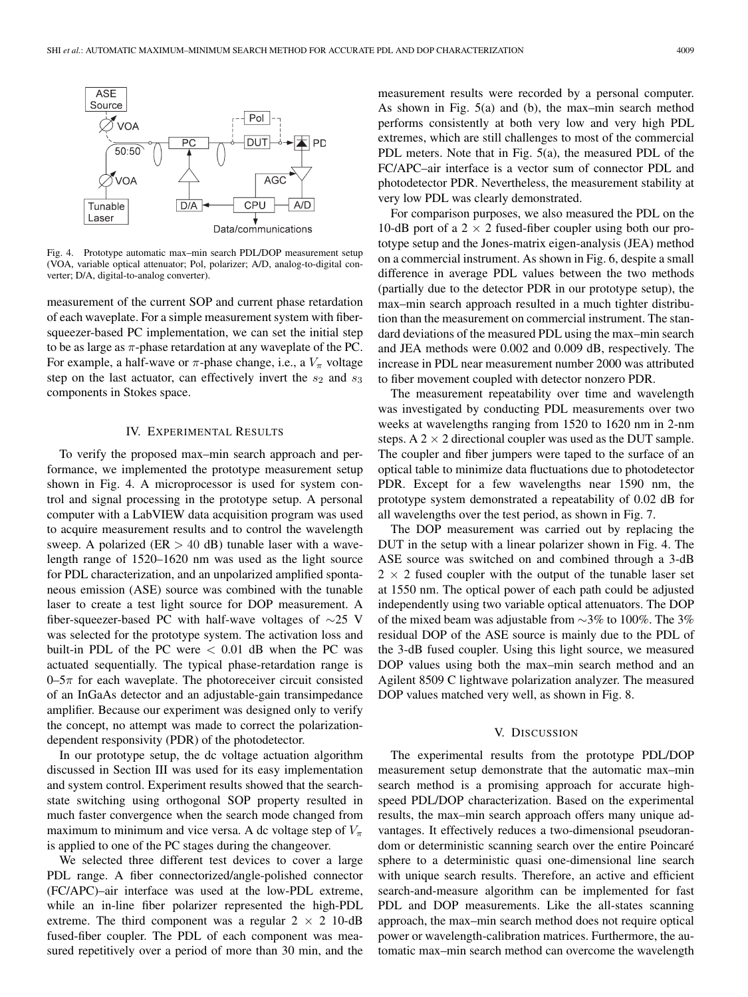

Fig. 4. Prototype automatic max–min search PDL/DOP measurement setup (VOA, variable optical attenuator; Pol, polarizer; A/D, analog-to-digital converter; D/A, digital-to-analog converter).

measurement of the current SOP and current phase retardation of each waveplate. For a simple measurement system with fibersqueezer-based PC implementation, we can set the initial step to be as large as  $\pi$ -phase retardation at any waveplate of the PC. For example, a half-wave or  $\pi$ -phase change, i.e., a  $V_{\pi}$  voltage step on the last actuator, can effectively invert the  $s_2$  and  $s_3$ components in Stokes space.

#### IV. EXPERIMENTAL RESULTS

To verify the proposed max–min search approach and performance, we implemented the prototype measurement setup shown in Fig. 4. A microprocessor is used for system control and signal processing in the prototype setup. A personal computer with a LabVIEW data acquisition program was used to acquire measurement results and to control the wavelength sweep. A polarized ( $ER > 40$  dB) tunable laser with a wavelength range of 1520–1620 nm was used as the light source for PDL characterization, and an unpolarized amplified spontaneous emission (ASE) source was combined with the tunable laser to create a test light source for DOP measurement. A fiber-squeezer-based PC with half-wave voltages of  $\sim$ 25 V was selected for the prototype system. The activation loss and built-in PDL of the PC were  $< 0.01$  dB when the PC was actuated sequentially. The typical phase-retardation range is  $0-5\pi$  for each waveplate. The photoreceiver circuit consisted of an InGaAs detector and an adjustable-gain transimpedance amplifier. Because our experiment was designed only to verify the concept, no attempt was made to correct the polarizationdependent responsivity (PDR) of the photodetector.

In our prototype setup, the dc voltage actuation algorithm discussed in Section III was used for its easy implementation and system control. Experiment results showed that the searchstate switching using orthogonal SOP property resulted in much faster convergence when the search mode changed from maximum to minimum and vice versa. A dc voltage step of  $V_\pi$ is applied to one of the PC stages during the changeover.

We selected three different test devices to cover a large PDL range. A fiber connectorized/angle-polished connector (FC/APC)–air interface was used at the low-PDL extreme, while an in-line fiber polarizer represented the high-PDL extreme. The third component was a regular  $2 \times 2$  10-dB fused-fiber coupler. The PDL of each component was measured repetitively over a period of more than 30 min, and the

measurement results were recorded by a personal computer. As shown in Fig. 5(a) and (b), the max–min search method performs consistently at both very low and very high PDL extremes, which are still challenges to most of the commercial PDL meters. Note that in Fig. 5(a), the measured PDL of the FC/APC–air interface is a vector sum of connector PDL and photodetector PDR. Nevertheless, the measurement stability at very low PDL was clearly demonstrated.

For comparison purposes, we also measured the PDL on the 10-dB port of a 2  $\times$  2 fused-fiber coupler using both our prototype setup and the Jones-matrix eigen-analysis (JEA) method on a commercial instrument. As shown in Fig. 6, despite a small difference in average PDL values between the two methods (partially due to the detector PDR in our prototype setup), the max–min search approach resulted in a much tighter distribution than the measurement on commercial instrument. The standard deviations of the measured PDL using the max–min search and JEA methods were 0.002 and 0.009 dB, respectively. The increase in PDL near measurement number 2000 was attributed to fiber movement coupled with detector nonzero PDR.

The measurement repeatability over time and wavelength was investigated by conducting PDL measurements over two weeks at wavelengths ranging from 1520 to 1620 nm in 2-nm steps. A  $2 \times 2$  directional coupler was used as the DUT sample. The coupler and fiber jumpers were taped to the surface of an optical table to minimize data fluctuations due to photodetector PDR. Except for a few wavelengths near 1590 nm, the prototype system demonstrated a repeatability of 0.02 dB for all wavelengths over the test period, as shown in Fig. 7.

The DOP measurement was carried out by replacing the DUT in the setup with a linear polarizer shown in Fig. 4. The ASE source was switched on and combined through a 3-dB  $2 \times 2$  fused coupler with the output of the tunable laser set at 1550 nm. The optical power of each path could be adjusted independently using two variable optical attenuators. The DOP of the mixed beam was adjustable from ∼3% to 100%. The 3% residual DOP of the ASE source is mainly due to the PDL of the 3-dB fused coupler. Using this light source, we measured DOP values using both the max–min search method and an Agilent 8509 C lightwave polarization analyzer. The measured DOP values matched very well, as shown in Fig. 8.

## V. DISCUSSION

The experimental results from the prototype PDL/DOP measurement setup demonstrate that the automatic max–min search method is a promising approach for accurate highspeed PDL/DOP characterization. Based on the experimental results, the max–min search approach offers many unique advantages. It effectively reduces a two-dimensional pseudorandom or deterministic scanning search over the entire Poincaré sphere to a deterministic quasi one-dimensional line search with unique search results. Therefore, an active and efficient search-and-measure algorithm can be implemented for fast PDL and DOP measurements. Like the all-states scanning approach, the max–min search method does not require optical power or wavelength-calibration matrices. Furthermore, the automatic max–min search method can overcome the wavelength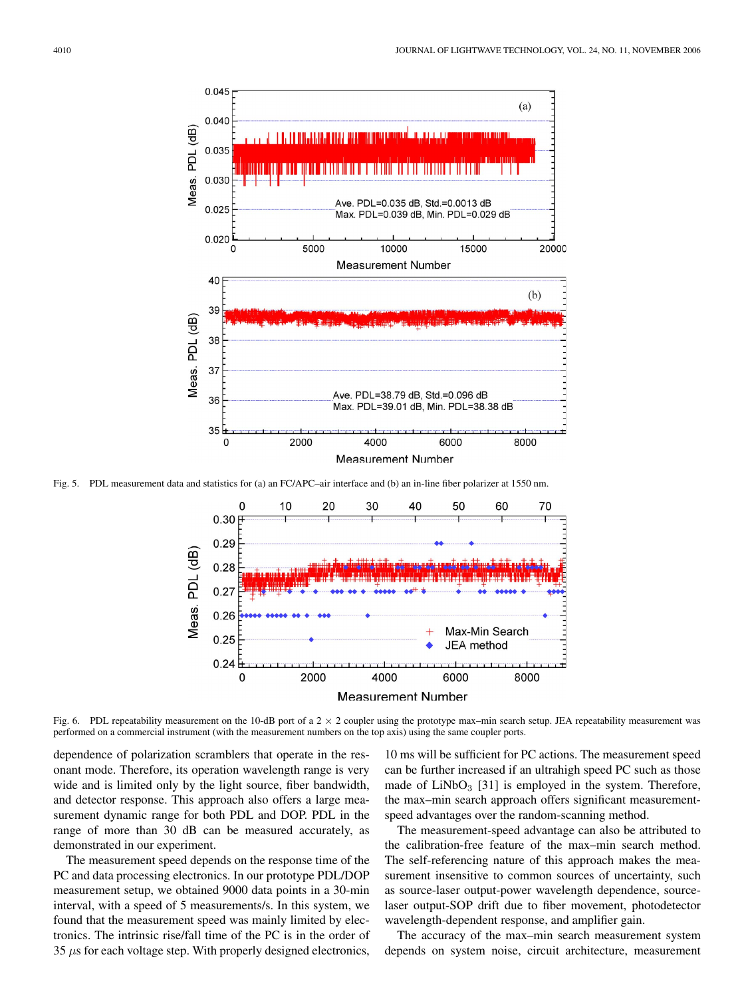

Fig. 5. PDL measurement data and statistics for (a) an FC/APC–air interface and (b) an in-line fiber polarizer at 1550 nm.



Fig. 6. PDL repeatability measurement on the 10-dB port of a  $2 \times 2$  coupler using the prototype max–min search setup. JEA repeatability measurement was performed on a commercial instrument (with the measurement numbers on the top axis) using the same coupler ports.

dependence of polarization scramblers that operate in the resonant mode. Therefore, its operation wavelength range is very wide and is limited only by the light source, fiber bandwidth, and detector response. This approach also offers a large measurement dynamic range for both PDL and DOP. PDL in the range of more than 30 dB can be measured accurately, as demonstrated in our experiment.

The measurement speed depends on the response time of the PC and data processing electronics. In our prototype PDL/DOP measurement setup, we obtained 9000 data points in a 30-min interval, with a speed of 5 measurements/s. In this system, we found that the measurement speed was mainly limited by electronics. The intrinsic rise/fall time of the PC is in the order of  $35 \mu s$  for each voltage step. With properly designed electronics,

10 ms will be sufficient for PC actions. The measurement speed can be further increased if an ultrahigh speed PC such as those made of  $LiNbO<sub>3</sub>$  [31] is employed in the system. Therefore, the max–min search approach offers significant measurementspeed advantages over the random-scanning method.

The measurement-speed advantage can also be attributed to the calibration-free feature of the max–min search method. The self-referencing nature of this approach makes the measurement insensitive to common sources of uncertainty, such as source-laser output-power wavelength dependence, sourcelaser output-SOP drift due to fiber movement, photodetector wavelength-dependent response, and amplifier gain.

The accuracy of the max–min search measurement system depends on system noise, circuit architecture, measurement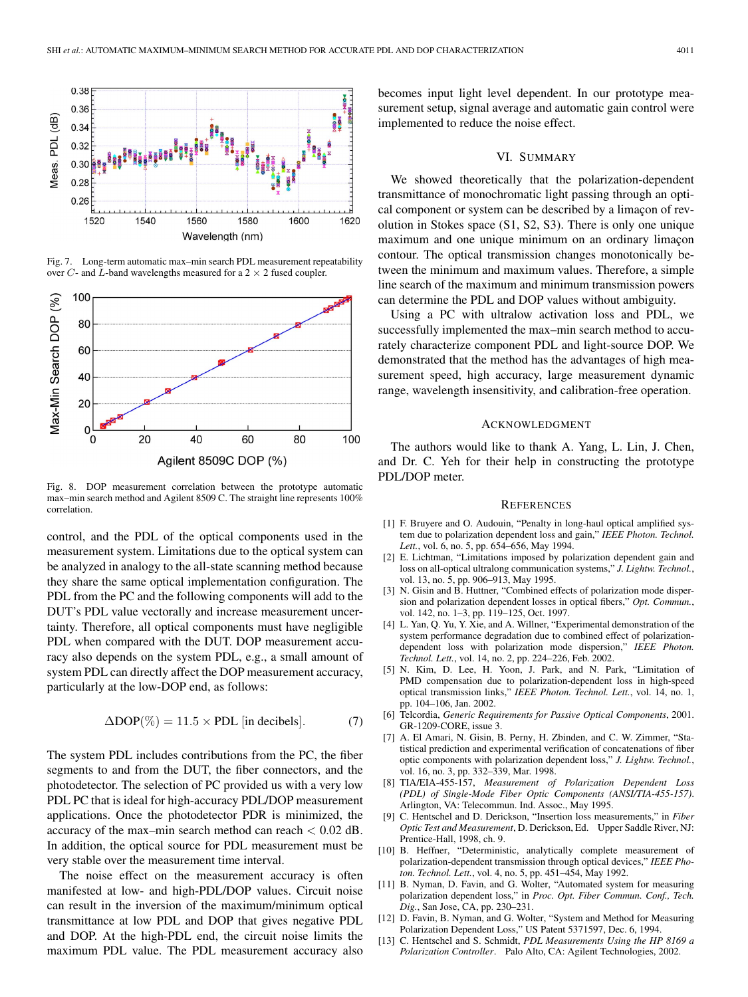

Fig. 7. Long-term automatic max–min search PDL measurement repeatability over C- and L-band wavelengths measured for a  $2 \times 2$  fused coupler.



Fig. 8. DOP measurement correlation between the prototype automatic max–min search method and Agilent 8509 C. The straight line represents 100% correlation.

control, and the PDL of the optical components used in the measurement system. Limitations due to the optical system can be analyzed in analogy to the all-state scanning method because they share the same optical implementation configuration. The PDL from the PC and the following components will add to the DUT's PDL value vectorally and increase measurement uncertainty. Therefore, all optical components must have negligible PDL when compared with the DUT. DOP measurement accuracy also depends on the system PDL, e.g., a small amount of system PDL can directly affect the DOP measurement accuracy, particularly at the low-DOP end, as follows:

$$
\Delta DOP(\%)=11.5 \times PDL \text{ [in decibels]}.
$$
 (7)

The system PDL includes contributions from the PC, the fiber segments to and from the DUT, the fiber connectors, and the photodetector. The selection of PC provided us with a very low PDL PC that is ideal for high-accuracy PDL/DOP measurement applications. Once the photodetector PDR is minimized, the accuracy of the max–min search method can reach < 0.02 dB. In addition, the optical source for PDL measurement must be very stable over the measurement time interval.

The noise effect on the measurement accuracy is often manifested at low- and high-PDL/DOP values. Circuit noise can result in the inversion of the maximum/minimum optical transmittance at low PDL and DOP that gives negative PDL and DOP. At the high-PDL end, the circuit noise limits the maximum PDL value. The PDL measurement accuracy also

becomes input light level dependent. In our prototype measurement setup, signal average and automatic gain control were implemented to reduce the noise effect.

### VI. SUMMARY

We showed theoretically that the polarization-dependent transmittance of monochromatic light passing through an optical component or system can be described by a limaçon of revolution in Stokes space (S1, S2, S3). There is only one unique maximum and one unique minimum on an ordinary limaçon contour. The optical transmission changes monotonically between the minimum and maximum values. Therefore, a simple line search of the maximum and minimum transmission powers can determine the PDL and DOP values without ambiguity.

Using a PC with ultralow activation loss and PDL, we successfully implemented the max–min search method to accurately characterize component PDL and light-source DOP. We demonstrated that the method has the advantages of high measurement speed, high accuracy, large measurement dynamic range, wavelength insensitivity, and calibration-free operation.

#### ACKNOWLEDGMENT

The authors would like to thank A. Yang, L. Lin, J. Chen, and Dr. C. Yeh for their help in constructing the prototype PDL/DOP meter.

#### **REFERENCES**

- [1] F. Bruyere and O. Audouin, "Penalty in long-haul optical amplified system due to polarization dependent loss and gain," *IEEE Photon. Technol. Lett.*, vol. 6, no. 5, pp. 654–656, May 1994.
- [2] E. Lichtman, "Limitations imposed by polarization dependent gain and loss on all-optical ultralong communication systems," *J. Lightw. Technol.*, vol. 13, no. 5, pp. 906–913, May 1995.
- [3] N. Gisin and B. Huttner, "Combined effects of polarization mode dispersion and polarization dependent losses in optical fibers," *Opt. Commun.*, vol. 142, no. 1-3, pp. 119-125, Oct. 1997.
- [4] L. Yan, Q. Yu, Y. Xie, and A. Willner, "Experimental demonstration of the system performance degradation due to combined effect of polarizationdependent loss with polarization mode dispersion," *IEEE Photon. Technol. Lett.*, vol. 14, no. 2, pp. 224–226, Feb. 2002.
- [5] N. Kim, D. Lee, H. Yoon, J. Park, and N. Park, "Limitation of PMD compensation due to polarization-dependent loss in high-speed optical transmission links," *IEEE Photon. Technol. Lett.*, vol. 14, no. 1, pp. 104–106, Jan. 2002.
- [6] Telcordia, *Generic Requirements for Passive Optical Components*, 2001. GR-1209-CORE, issue 3.
- [7] A. El Amari, N. Gisin, B. Perny, H. Zbinden, and C. W. Zimmer, "Statistical prediction and experimental verification of concatenations of fiber optic components with polarization dependent loss," *J. Lightw. Technol.*, vol. 16, no. 3, pp. 332–339, Mar. 1998.
- [8] TIA/EIA-455-157, *Measurement of Polarization Dependent Loss (PDL) of Single-Mode Fiber Optic Components (ANSI/TIA-455-157)*. Arlington, VA: Telecommun. Ind. Assoc., May 1995.
- [9] C. Hentschel and D. Derickson, "Insertion loss measurements," in *Fiber Optic Test and Measurement*, D. Derickson, Ed. Upper Saddle River, NJ: Prentice-Hall, 1998, ch. 9.
- [10] B. Heffner, "Deterministic, analytically complete measurement of polarization-dependent transmission through optical devices," *IEEE Photon. Technol. Lett.*, vol. 4, no. 5, pp. 451–454, May 1992.
- [11] B. Nyman, D. Favin, and G. Wolter, "Automated system for measuring polarization dependent loss," in *Proc. Opt. Fiber Commun. Conf., Tech. Dig.*, San Jose, CA, pp. 230–231.
- [12] D. Favin, B. Nyman, and G. Wolter, "System and Method for Measuring Polarization Dependent Loss," US Patent 5371597, Dec. 6, 1994.
- [13] C. Hentschel and S. Schmidt, *PDL Measurements Using the HP 8169 a Polarization Controller*. Palo Alto, CA: Agilent Technologies, 2002.